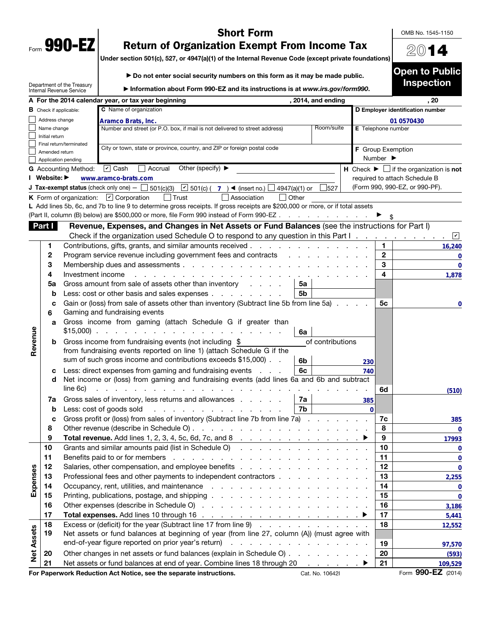| Form | 990-<br>Γ1 |  |
|------|------------|--|

## Short Form

OMB No. 1545-1150

2014

Open to Public Inspection

## Return of Organization Exempt From Income Tax

Under section 501(c), 527, or 4947(a)(1) of the Internal Revenue Code (except private foundations)

|                   |                                                                                                          | Department of the Treasury<br>Internal Revenue Service      | Information about Form 990-EZ and its instructions is at www.irs.gov/form990.                                                                                                                                                                                                   |                    |                          |                    | mspecuon                                                      |  |  |  |
|-------------------|----------------------------------------------------------------------------------------------------------|-------------------------------------------------------------|---------------------------------------------------------------------------------------------------------------------------------------------------------------------------------------------------------------------------------------------------------------------------------|--------------------|--------------------------|--------------------|---------------------------------------------------------------|--|--|--|
|                   |                                                                                                          |                                                             | A For the 2014 calendar year, or tax year beginning                                                                                                                                                                                                                             | , 2014, and ending |                          |                    | . 20                                                          |  |  |  |
|                   |                                                                                                          | C Name of organization<br><b>B</b> Check if applicable:     |                                                                                                                                                                                                                                                                                 |                    |                          |                    | D Employer identification number                              |  |  |  |
|                   |                                                                                                          | Address change<br>Aramco Brats, Inc.                        |                                                                                                                                                                                                                                                                                 |                    |                          |                    | 01 0570430                                                    |  |  |  |
|                   | Room/suite<br>Number and street (or P.O. box, if mail is not delivered to street address)<br>Name change |                                                             |                                                                                                                                                                                                                                                                                 |                    |                          | E Telephone number |                                                               |  |  |  |
|                   | Initial return                                                                                           |                                                             |                                                                                                                                                                                                                                                                                 |                    |                          |                    |                                                               |  |  |  |
|                   |                                                                                                          | Final return/terminated                                     | City or town, state or province, country, and ZIP or foreign postal code                                                                                                                                                                                                        |                    | <b>F</b> Group Exemption |                    |                                                               |  |  |  |
|                   | Amended return                                                                                           | Application pending                                         |                                                                                                                                                                                                                                                                                 |                    |                          | Number ▶           |                                                               |  |  |  |
|                   |                                                                                                          | <b>G</b> Accounting Method:                                 | $\boxed{\mathbf{v}}$ Cash<br>Accrual<br>Other (specify) $\blacktriangleright$                                                                                                                                                                                                   |                    |                          |                    | H Check $\blacktriangleright \Box$ if the organization is not |  |  |  |
|                   | Website: ▶                                                                                               |                                                             | www.aramco-brats.com                                                                                                                                                                                                                                                            |                    |                          |                    | required to attach Schedule B                                 |  |  |  |
|                   |                                                                                                          |                                                             | ■ 501(c) $($ $\overline{7}$ $)$ $\blacktriangleleft$ (insert no.) $\lfloor$<br><b>J Tax-exempt status</b> (check only one) $-$ 501(c)(3)<br>$\Box$ 4947(a)(1) or                                                                                                                | 527                |                          |                    | (Form 990, 990-EZ, or 990-PF).                                |  |  |  |
|                   |                                                                                                          |                                                             | Other<br><b>K</b> Form of organization: $\boxed{\mathbf{v}}$ Corporation<br>l Trust<br>Association                                                                                                                                                                              |                    |                          |                    |                                                               |  |  |  |
|                   |                                                                                                          |                                                             | L Add lines 5b, 6c, and 7b to line 9 to determine gross receipts. If gross receipts are \$200,000 or more, or if total assets                                                                                                                                                   |                    |                          |                    |                                                               |  |  |  |
|                   |                                                                                                          |                                                             | (Part II, column (B) below) are \$500,000 or more, file Form 990 instead of Form 990-EZ                                                                                                                                                                                         |                    |                          |                    |                                                               |  |  |  |
|                   | Part I                                                                                                   |                                                             | Revenue, Expenses, and Changes in Net Assets or Fund Balances (see the instructions for Part I)                                                                                                                                                                                 |                    |                          |                    |                                                               |  |  |  |
|                   |                                                                                                          |                                                             | Check if the organization used Schedule O to respond to any question in this Part I.                                                                                                                                                                                            |                    |                          |                    | $ \mathbf{v} $                                                |  |  |  |
|                   | 1.                                                                                                       |                                                             | Contributions, gifts, grants, and similar amounts received                                                                                                                                                                                                                      |                    |                          | 1                  | 16,240                                                        |  |  |  |
|                   | 2                                                                                                        |                                                             | Program service revenue including government fees and contracts                                                                                                                                                                                                                 |                    |                          | $\mathbf 2$        | 0                                                             |  |  |  |
|                   | 3                                                                                                        |                                                             | Membership dues and assessments                                                                                                                                                                                                                                                 |                    |                          | 3                  | $\mathbf 0$                                                   |  |  |  |
|                   | 4                                                                                                        | Investment income                                           |                                                                                                                                                                                                                                                                                 |                    |                          | 4                  | 1,878                                                         |  |  |  |
|                   | 5a                                                                                                       |                                                             | Gross amount from sale of assets other than inventory<br>5a                                                                                                                                                                                                                     |                    |                          |                    |                                                               |  |  |  |
|                   | b                                                                                                        |                                                             | 5 <sub>b</sub><br>Less: cost or other basis and sales expenses                                                                                                                                                                                                                  |                    |                          |                    |                                                               |  |  |  |
|                   | c                                                                                                        |                                                             |                                                                                                                                                                                                                                                                                 |                    |                          |                    |                                                               |  |  |  |
|                   | 6                                                                                                        |                                                             | Gain or (loss) from sale of assets other than inventory (Subtract line 5b from line 5a)<br>5с<br>0<br>Gaming and fundraising events                                                                                                                                             |                    |                          |                    |                                                               |  |  |  |
|                   | a                                                                                                        | Gross income from gaming (attach Schedule G if greater than |                                                                                                                                                                                                                                                                                 |                    |                          |                    |                                                               |  |  |  |
| Revenue           |                                                                                                          | $$15,000$ ).                                                | and a state of the state of the<br>6a                                                                                                                                                                                                                                           |                    |                          |                    |                                                               |  |  |  |
|                   | b                                                                                                        |                                                             | Gross income from fundraising events (not including \$                                                                                                                                                                                                                          | of contributions   |                          |                    |                                                               |  |  |  |
|                   |                                                                                                          |                                                             | from fundraising events reported on line 1) (attach Schedule G if the                                                                                                                                                                                                           |                    |                          |                    |                                                               |  |  |  |
|                   |                                                                                                          |                                                             | sum of such gross income and contributions exceeds \$15,000).<br>6b                                                                                                                                                                                                             |                    | 230                      |                    |                                                               |  |  |  |
|                   | c                                                                                                        |                                                             | 6c<br>Less: direct expenses from gaming and fundraising events                                                                                                                                                                                                                  |                    | 740                      |                    |                                                               |  |  |  |
|                   | d                                                                                                        |                                                             | Net income or (loss) from gaming and fundraising events (add lines 6a and 6b and subtract                                                                                                                                                                                       |                    |                          |                    |                                                               |  |  |  |
|                   |                                                                                                          | line 6c)                                                    |                                                                                                                                                                                                                                                                                 |                    |                          | 6d                 | (510)                                                         |  |  |  |
|                   | 7a                                                                                                       |                                                             | Gross sales of inventory, less returns and allowances<br>7a                                                                                                                                                                                                                     |                    | 385                      |                    |                                                               |  |  |  |
|                   | b                                                                                                        |                                                             | 7b<br>Less: cost of goods sold<br>and the contract of the con-                                                                                                                                                                                                                  |                    | $\mathbf{0}$             |                    |                                                               |  |  |  |
|                   | с                                                                                                        |                                                             | Gross profit or (loss) from sales of inventory (Subtract line 7b from line 7a)                                                                                                                                                                                                  |                    |                          | 7c                 | 385                                                           |  |  |  |
|                   | 8                                                                                                        |                                                             | Other revenue (describe in Schedule O).<br><u>in the series of the series of the series of the series of the series of the series of the series of the series of the series of the series of the series of the series of the series of the series of the series of the seri</u> |                    |                          | 8                  |                                                               |  |  |  |
|                   | 9                                                                                                        |                                                             | Total revenue. Add lines 1, 2, 3, 4, 5c, 6d, 7c, and 8<br>the contract of the contract of the contract of                                                                                                                                                                       |                    |                          | 9                  | 17993                                                         |  |  |  |
|                   | 10                                                                                                       |                                                             |                                                                                                                                                                                                                                                                                 |                    |                          | 10                 | $\overline{\mathbf{0}}$                                       |  |  |  |
|                   | 11                                                                                                       |                                                             | Benefits paid to or for members (end on the contract of the contract of the contract of the contract of the contract of the contract of the contract of the contract of the contract of the contract of the contract of the co                                                  |                    |                          | 11                 | $\bf{0}$                                                      |  |  |  |
|                   | 12                                                                                                       |                                                             |                                                                                                                                                                                                                                                                                 |                    |                          | 12                 | $\mathbf 0$                                                   |  |  |  |
| Expenses          | 13                                                                                                       |                                                             | Professional fees and other payments to independent contractors                                                                                                                                                                                                                 |                    |                          | 13                 | 2,255                                                         |  |  |  |
|                   | 14                                                                                                       |                                                             |                                                                                                                                                                                                                                                                                 |                    |                          | 14                 | $\mathbf 0$                                                   |  |  |  |
|                   | 15                                                                                                       |                                                             |                                                                                                                                                                                                                                                                                 |                    |                          | 15                 | $\bf{0}$                                                      |  |  |  |
|                   | 16                                                                                                       |                                                             |                                                                                                                                                                                                                                                                                 |                    |                          | 16                 | 3,186                                                         |  |  |  |
|                   | 17                                                                                                       |                                                             |                                                                                                                                                                                                                                                                                 |                    |                          | 17                 | 5,441                                                         |  |  |  |
|                   | 18                                                                                                       |                                                             | Excess or (deficit) for the year (Subtract line 17 from line 9)                                                                                                                                                                                                                 |                    |                          | 18                 | 12,552                                                        |  |  |  |
|                   | 19                                                                                                       |                                                             | Net assets or fund balances at beginning of year (from line 27, column (A)) (must agree with                                                                                                                                                                                    |                    |                          |                    |                                                               |  |  |  |
|                   |                                                                                                          |                                                             |                                                                                                                                                                                                                                                                                 |                    |                          | 19                 | 97,570                                                        |  |  |  |
| <b>Net Assets</b> | 20                                                                                                       |                                                             | Other changes in net assets or fund balances (explain in Schedule O)                                                                                                                                                                                                            |                    |                          | 20                 | (593)                                                         |  |  |  |
|                   | 21                                                                                                       |                                                             | Net assets or fund balances at end of year. Combine lines 18 through 20                                                                                                                                                                                                         | and a series of    |                          | 21                 | 109,529                                                       |  |  |  |
|                   |                                                                                                          |                                                             | For Paperwork Reduction Act Notice, see the separate instructions.                                                                                                                                                                                                              | Cat. No. 10642l    |                          |                    | Form 990-EZ (2014)                                            |  |  |  |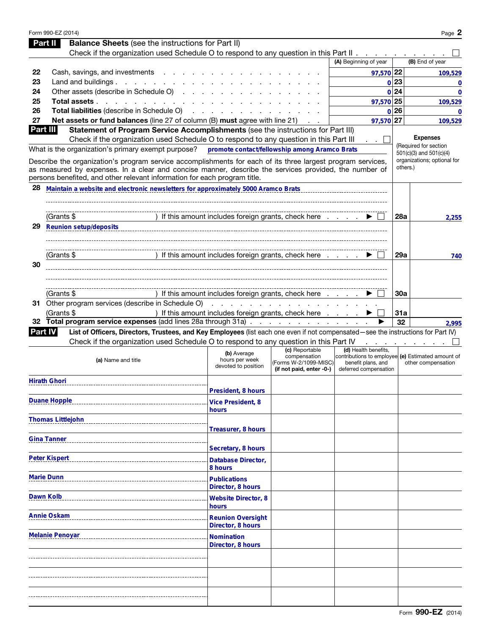|     | Form 990-EZ (2014)                                                                                                                                                                 |                                                      |                                       |                                                                         |         | Page 2                                               |
|-----|------------------------------------------------------------------------------------------------------------------------------------------------------------------------------------|------------------------------------------------------|---------------------------------------|-------------------------------------------------------------------------|---------|------------------------------------------------------|
|     | <b>Balance Sheets</b> (see the instructions for Part II)<br>Part II                                                                                                                |                                                      |                                       |                                                                         |         |                                                      |
|     | Check if the organization used Schedule O to respond to any question in this Part II                                                                                               |                                                      |                                       |                                                                         |         |                                                      |
|     |                                                                                                                                                                                    |                                                      |                                       | (A) Beginning of year                                                   |         | (B) End of year                                      |
| 22  | Cash, savings, and investments                                                                                                                                                     |                                                      |                                       | 97,570 22                                                               |         | 109,529                                              |
| 23  | Land and buildings $\ldots$ $\ldots$ $\ldots$ $\ldots$                                                                                                                             |                                                      |                                       |                                                                         | $0$  23 | 0                                                    |
| 24  | Other assets (describe in Schedule O)                                                                                                                                              |                                                      |                                       |                                                                         | 0 24    | $\mathbf 0$                                          |
| 25  | Total assets                                                                                                                                                                       |                                                      |                                       | 97,570 25                                                               |         | 109,529                                              |
| 26  | Total liabilities (describe in Schedule O)                                                                                                                                         |                                                      |                                       | $\mathbf{0}$                                                            | 26      | 0                                                    |
| 27  | <b>Net assets or fund balances</b> (line 27 of column (B) must agree with line 21)                                                                                                 |                                                      |                                       | 97,570 27                                                               |         | 109,529                                              |
|     | Part III<br>Statement of Program Service Accomplishments (see the instructions for Part III)                                                                                       |                                                      |                                       |                                                                         |         |                                                      |
|     | Check if the organization used Schedule O to respond to any question in this Part III                                                                                              |                                                      |                                       |                                                                         |         | <b>Expenses</b>                                      |
|     | What is the organization's primary exempt purpose?                                                                                                                                 | promote contact/fellowship among Aramco Brats        |                                       |                                                                         |         | (Required for section<br>$501(c)(3)$ and $501(c)(4)$ |
|     | Describe the organization's program service accomplishments for each of its three largest program services,                                                                        |                                                      |                                       |                                                                         |         | organizations; optional for<br>others.)              |
|     | as measured by expenses. In a clear and concise manner, describe the services provided, the number of<br>persons benefited, and other relevant information for each program title. |                                                      |                                       |                                                                         |         |                                                      |
|     |                                                                                                                                                                                    |                                                      |                                       |                                                                         |         |                                                      |
| 28  | Maintain a website and electronic newsletters for approximately 5000 Aramco Brats                                                                                                  |                                                      |                                       |                                                                         |         |                                                      |
|     |                                                                                                                                                                                    |                                                      |                                       |                                                                         |         |                                                      |
|     |                                                                                                                                                                                    |                                                      |                                       |                                                                         |         |                                                      |
|     | (Grants \$                                                                                                                                                                         | If this amount includes foreign grants, check here   |                                       |                                                                         | 28a     | 2,255                                                |
| 29  | <b>Reunion setup/deposits</b>                                                                                                                                                      |                                                      |                                       |                                                                         |         |                                                      |
|     |                                                                                                                                                                                    |                                                      |                                       |                                                                         |         |                                                      |
|     |                                                                                                                                                                                    |                                                      |                                       |                                                                         |         |                                                      |
|     | (Grants \$                                                                                                                                                                         | If this amount includes foreign grants, check here   |                                       |                                                                         | 29a     | 740                                                  |
| 30  |                                                                                                                                                                                    |                                                      |                                       |                                                                         |         |                                                      |
|     |                                                                                                                                                                                    |                                                      |                                       |                                                                         |         |                                                      |
|     |                                                                                                                                                                                    |                                                      |                                       |                                                                         |         |                                                      |
|     | (Grants \$                                                                                                                                                                         | If this amount includes foreign grants, check here   |                                       |                                                                         | 30a     |                                                      |
| 31. | Other program services (describe in Schedule O)                                                                                                                                    | a carrier and a carrier and a car                    |                                       |                                                                         |         |                                                      |
|     | (Grants \$                                                                                                                                                                         | ) If this amount includes foreign grants, check here |                                       |                                                                         | 31a     |                                                      |
| 32  | Total program service expenses (add lines 28a through 31a)                                                                                                                         |                                                      |                                       |                                                                         |         |                                                      |
|     |                                                                                                                                                                                    |                                                      |                                       |                                                                         | 32      | 2,995                                                |
|     | List of Officers, Directors, Trustees, and Key Employees (list each one even if not compensated-see the instructions for Part IV)<br><b>Part IV</b>                                |                                                      |                                       |                                                                         |         |                                                      |
|     | Check if the organization used Schedule O to respond to any question in this Part IV                                                                                               |                                                      |                                       |                                                                         |         |                                                      |
|     |                                                                                                                                                                                    | (b) Average                                          | (c) Reportable                        | (d) Health benefits,                                                    |         |                                                      |
|     | (a) Name and title                                                                                                                                                                 | hours per week                                       | compensation<br>(Forms W-2/1099-MISC) | contributions to employee (e) Estimated amount of<br>benefit plans, and |         | other compensation                                   |
|     |                                                                                                                                                                                    | devoted to position                                  | (if not paid, enter -0-)              | deferred compensation                                                   |         |                                                      |
|     | <b>Hirath Ghori</b>                                                                                                                                                                |                                                      |                                       |                                                                         |         |                                                      |
|     |                                                                                                                                                                                    | President, 8 hours                                   |                                       |                                                                         |         |                                                      |
|     | <b>Duane Hopple</b>                                                                                                                                                                |                                                      |                                       |                                                                         |         |                                                      |
|     |                                                                                                                                                                                    | <b>Vice President, 8</b><br>hours                    |                                       |                                                                         |         |                                                      |
|     |                                                                                                                                                                                    |                                                      |                                       |                                                                         |         |                                                      |
|     | <b>Thomas Littlejohn</b>                                                                                                                                                           |                                                      |                                       |                                                                         |         |                                                      |
|     |                                                                                                                                                                                    | Treasurer, 8 hours                                   |                                       |                                                                         |         |                                                      |
|     | <b>Gina Tanner</b>                                                                                                                                                                 |                                                      |                                       |                                                                         |         |                                                      |
|     |                                                                                                                                                                                    | Secretary, 8 hours                                   |                                       |                                                                         |         |                                                      |
|     | <b>Peter Kispert</b>                                                                                                                                                               | Database Director,                                   |                                       |                                                                         |         |                                                      |
|     |                                                                                                                                                                                    | 8 hours                                              |                                       |                                                                         |         |                                                      |
|     | <b>Marie Dunn</b>                                                                                                                                                                  | <b>Publications</b>                                  |                                       |                                                                         |         |                                                      |
|     |                                                                                                                                                                                    | Director, 8 hours                                    |                                       |                                                                         |         |                                                      |
|     | Dawn Kolb                                                                                                                                                                          | <b>Website Director, 8</b>                           |                                       |                                                                         |         |                                                      |
|     |                                                                                                                                                                                    | hours                                                |                                       |                                                                         |         |                                                      |
|     | <b>Annie Oskam</b>                                                                                                                                                                 | <b>Reunion Oversight</b>                             |                                       |                                                                         |         |                                                      |
|     |                                                                                                                                                                                    | Director, 8 hours                                    |                                       |                                                                         |         |                                                      |
|     | <b>Melanie Penoyar</b>                                                                                                                                                             | <b>Nomination</b>                                    |                                       |                                                                         |         |                                                      |
|     |                                                                                                                                                                                    | Director, 8 hours                                    |                                       |                                                                         |         |                                                      |
|     |                                                                                                                                                                                    |                                                      |                                       |                                                                         |         |                                                      |
|     |                                                                                                                                                                                    |                                                      |                                       |                                                                         |         |                                                      |
|     |                                                                                                                                                                                    |                                                      |                                       |                                                                         |         |                                                      |
|     |                                                                                                                                                                                    |                                                      |                                       |                                                                         |         |                                                      |
|     |                                                                                                                                                                                    |                                                      |                                       |                                                                         |         |                                                      |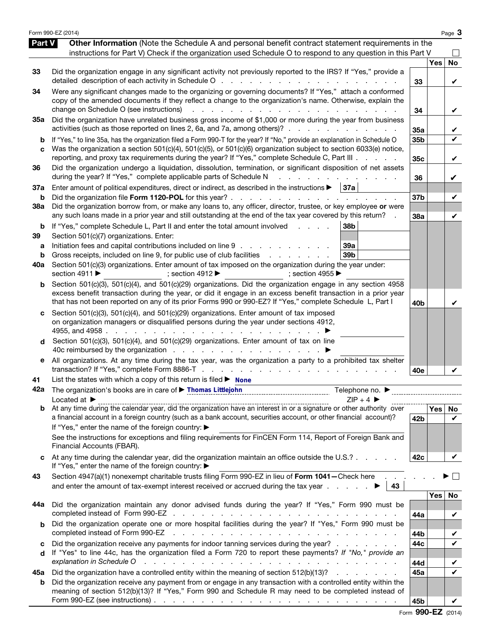|                   | Form 990-EZ (2014)                                                                                                                                                                                                                                                                                                                                                                                                                                                                                         |                 |     | Page 3            |
|-------------------|------------------------------------------------------------------------------------------------------------------------------------------------------------------------------------------------------------------------------------------------------------------------------------------------------------------------------------------------------------------------------------------------------------------------------------------------------------------------------------------------------------|-----------------|-----|-------------------|
| Part V            | Other Information (Note the Schedule A and personal benefit contract statement requirements in the<br>instructions for Part V) Check if the organization used Schedule O to respond to any question in this Part V                                                                                                                                                                                                                                                                                         |                 |     |                   |
| 33                | Did the organization engage in any significant activity not previously reported to the IRS? If "Yes," provide a                                                                                                                                                                                                                                                                                                                                                                                            | 33              | Yes | No<br>V           |
| 34                | Were any significant changes made to the organizing or governing documents? If "Yes," attach a conformed<br>copy of the amended documents if they reflect a change to the organization's name. Otherwise, explain the<br>change on Schedule O (see instructions)<br>.                                                                                                                                                                                                                                      | 34              |     | V                 |
| 35a               | Did the organization have unrelated business gross income of \$1,000 or more during the year from business<br>activities (such as those reported on lines 2, 6a, and 7a, among others)?                                                                                                                                                                                                                                                                                                                    | 35a             |     | V                 |
| b<br>c            | If "Yes," to line 35a, has the organization filed a Form 990-T for the year? If "No," provide an explanation in Schedule O<br>Was the organization a section 501(c)(4), 501(c)(5), or 501(c)(6) organization subject to section 6033(e) notice,<br>reporting, and proxy tax requirements during the year? If "Yes," complete Schedule C, Part III                                                                                                                                                          | 35b<br>35c      |     | $\checkmark$<br>V |
| 36                | Did the organization undergo a liquidation, dissolution, termination, or significant disposition of net assets<br>during the year? If "Yes," complete applicable parts of Schedule N<br>and a straight and a straight and                                                                                                                                                                                                                                                                                  | 36              |     | V                 |
| 37a<br>b          | Enter amount of political expenditures, direct or indirect, as described in the instructions $\blacktriangleright$   37a                                                                                                                                                                                                                                                                                                                                                                                   | 37b             |     | V                 |
| <b>38a</b>        | Did the organization borrow from, or make any loans to, any officer, director, trustee, or key employee or were<br>any such loans made in a prior year and still outstanding at the end of the tax year covered by this return?                                                                                                                                                                                                                                                                            | 38a             |     | V                 |
| b<br>39<br>а<br>b | If "Yes," complete Schedule L, Part II and enter the total amount involved<br>38b<br>Section 501(c)(7) organizations. Enter:<br>Initiation fees and capital contributions included on line 9<br>39a<br>Gross receipts, included on line 9, for public use of club facilities<br>39 <sub>b</sub>                                                                                                                                                                                                            |                 |     |                   |
| 40a               | Section 501(c)(3) organizations. Enter amount of tax imposed on the organization during the year under:<br>section 4911 ▶<br>; section 4912<br>; section 4955 $\blacktriangleright$                                                                                                                                                                                                                                                                                                                        |                 |     |                   |
| b                 | Section 501(c)(3), 501(c)(4), and 501(c)(29) organizations. Did the organization engage in any section 4958<br>excess benefit transaction during the year, or did it engage in an excess benefit transaction in a prior year<br>that has not been reported on any of its prior Forms 990 or 990-EZ? If "Yes," complete Schedule L, Part I                                                                                                                                                                  | 40 <sub>b</sub> |     | V                 |
| c                 | Section 501(c)(3), 501(c)(4), and 501(c)(29) organizations. Enter amount of tax imposed<br>on organization managers or disqualified persons during the year under sections 4912,<br>4955, and 4958 $\ldots$ $\ldots$ $\ldots$ $\ldots$<br>the contract of the contract of the contract of the contract of the contract of the contract of the contract of                                                                                                                                                  |                 |     |                   |
| d                 | Section 501(c)(3), 501(c)(4), and 501(c)(29) organizations. Enter amount of tax on line                                                                                                                                                                                                                                                                                                                                                                                                                    |                 |     |                   |
| е                 | All organizations. At any time during the tax year, was the organization a party to a prohibited tax shelter                                                                                                                                                                                                                                                                                                                                                                                               | 40e             |     |                   |
| 41                | List the states with which a copy of this return is filed $\triangleright$ None                                                                                                                                                                                                                                                                                                                                                                                                                            |                 |     |                   |
| 42a               | The organization's books are in care of Thomas Littlejohn<br>Telephone no. ▶<br>$ZIP + 4$<br>Located at $\blacktriangleright$                                                                                                                                                                                                                                                                                                                                                                              |                 |     |                   |
|                   | $\overline{a}$ $\overline{b}$ $\overline{c}$ $\overline{c}$ $\overline{c}$ $\overline{c}$ $\overline{c}$ $\overline{c}$ $\overline{c}$ $\overline{c}$ $\overline{c}$ $\overline{c}$ $\overline{c}$ $\overline{c}$ $\overline{c}$ $\overline{c}$ $\overline{c}$ $\overline{c}$ $\overline{c}$ $\overline{c}$ $\overline{c}$ $\overline{c}$ $\overline{c}$ $\overline{c}$ $\overline{$<br>a financial account in a foreign country (such as a bank account, securities account, or other financial account)? | 42b             | Yes | No<br>V           |
|                   | If "Yes," enter the name of the foreign country: ▶<br>See the instructions for exceptions and filing requirements for FinCEN Form 114, Report of Foreign Bank and<br>Financial Accounts (FBAR).                                                                                                                                                                                                                                                                                                            |                 |     |                   |
|                   | At any time during the calendar year, did the organization maintain an office outside the U.S.?<br>If "Yes," enter the name of the foreign country: ▶                                                                                                                                                                                                                                                                                                                                                      | 42c             |     | V                 |
| 43                | Section 4947(a)(1) nonexempt charitable trusts filing Form 990-EZ in lieu of Form 1041-Check here<br>and enter the amount of tax-exempt interest received or accrued during the tax year $\ldots$ $\ldots$<br>43                                                                                                                                                                                                                                                                                           |                 |     |                   |
| 44a               | Did the organization maintain any donor advised funds during the year? If "Yes," Form 990 must be                                                                                                                                                                                                                                                                                                                                                                                                          |                 | Yes | No                |
| b                 | Did the organization operate one or more hospital facilities during the year? If "Yes," Form 990 must be                                                                                                                                                                                                                                                                                                                                                                                                   | 44a             |     | V                 |
| c                 | completed instead of Form 990-EZ<br>and a construction of the construction of the construction of the construction of the construction of the construction of the construction of the construction of the construction of the construction of the construction of<br>Did the organization receive any payments for indoor tanning services during the year?                                                                                                                                                | 44b<br>44c      |     | V<br>$\checkmark$ |
| d                 | If "Yes" to line 44c, has the organization filed a Form 720 to report these payments? If "No," provide an<br>explanation in Schedule O<br>and the contract of the contract of the contract of the contract of the contract of                                                                                                                                                                                                                                                                              | 44d             |     | V                 |
| 45а               | Did the organization have a controlled entity within the meaning of section 512(b)(13)?                                                                                                                                                                                                                                                                                                                                                                                                                    | 45a             |     | V                 |
| b                 | Did the organization receive any payment from or engage in any transaction with a controlled entity within the<br>meaning of section 512(b)(13)? If "Yes," Form 990 and Schedule R may need to be completed instead of                                                                                                                                                                                                                                                                                     | 45b             |     |                   |

Form 990-EZ (2014)